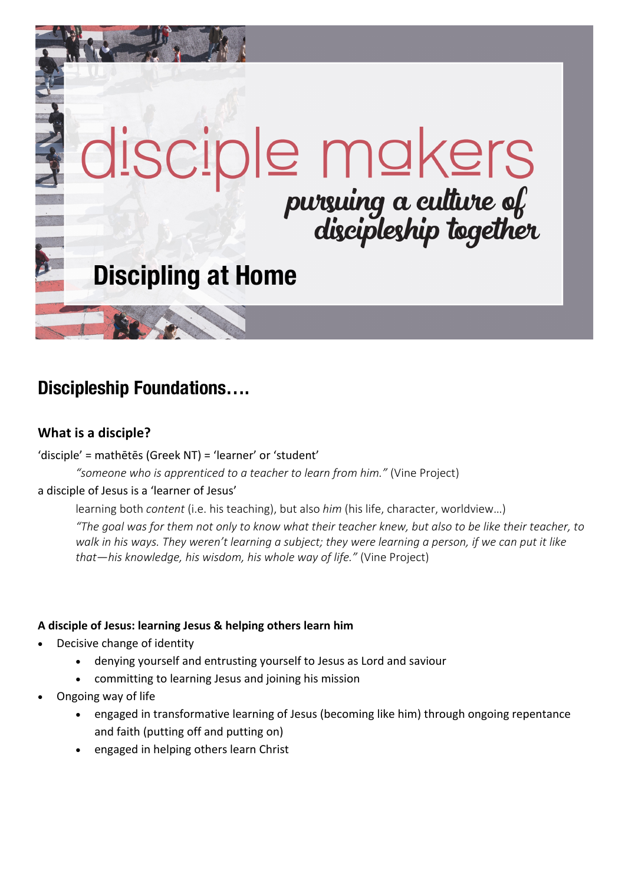# disciple mokers<br>
pursuing a culture of<br>
discipleship together **Discipling at Home**

## **Discipleship Foundations….**

#### **What is a disciple?**

#### 'disciple' = mathētēs (Greek NT) = 'learner' or 'student'

*"someone who is apprenticed to a teacher to learn from him."* (Vine Project)

#### a disciple of Jesus is a 'learner of Jesus'

learning both *content* (i.e. his teaching), but also *him* (his life, character, worldview…)

*"The goal was for them not only to know what their teacher knew, but also to be like their teacher, to walk in his ways. They weren't learning a subject; they were learning a person, if we can put it like that—his knowledge, his wisdom, his whole way of life."* (Vine Project)

#### **A disciple of Jesus: learning Jesus & helping others learn him**

- Decisive change of identity
	- denying yourself and entrusting yourself to Jesus as Lord and saviour
	- committing to learning Jesus and joining his mission
- Ongoing way of life
	- engaged in transformative learning of Jesus (becoming like him) through ongoing repentance and faith (putting off and putting on)
	- engaged in helping others learn Christ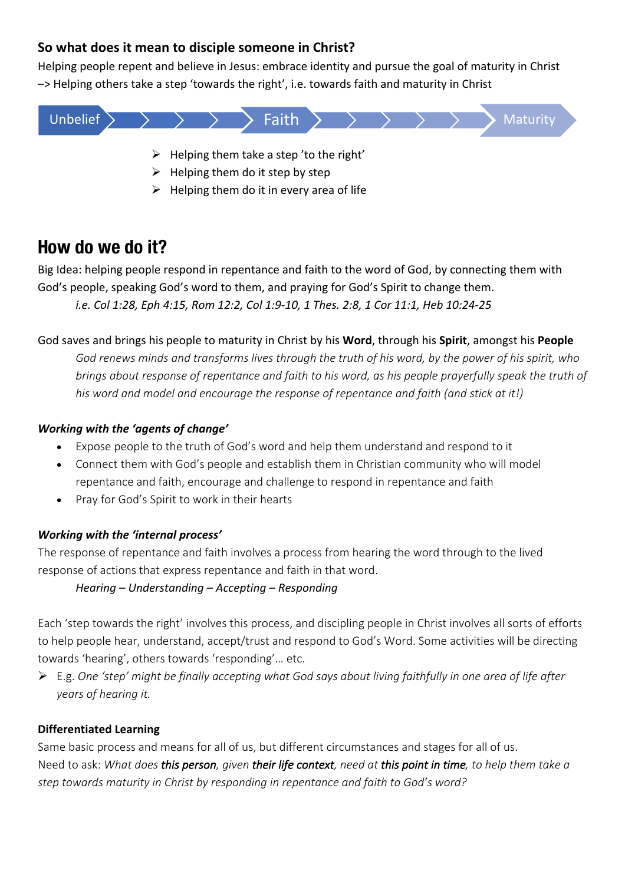#### **So what does it mean to disciple someone in Christ?**

Helping people repent and believe in Jesus: embrace identity and pursue the goal of maturity in Christ –> Helping others take a step 'towards the right', i.e. towards faith and maturity in Christ



- $\triangleright$  Helping them do it step by step
- $\triangleright$  Helping them do it in every area of life

## **How do we do it?**

Big Idea: helping people respond in repentance and faith to the word of God, by connecting them with God's people, speaking God's word to them, and praying for God's Spirit to change them. *i.e. Col 1:28, Eph 4:15, Rom 12:2, Col 1:9-10, 1 Thes. 2:8, 1 Cor 11:1, Heb 10:24-25*

#### God saves and brings his people to maturity in Christ by his **Word**, through his **Spirit**, amongst his **People**

*God renews minds and transforms lives through the truth of his word, by the power of his spirit, who brings about response of repentance and faith to his word, as his people prayerfully speak the truth of his word and model and encourage the response of repentance and faith (and stick at it!)*

#### *Working with the 'agents of change'*

- Expose people to the truth of God's word and help them understand and respond to it
- Connect them with God's people and establish them in Christian community who will model repentance and faith, encourage and challenge to respond in repentance and faith
- Pray for God's Spirit to work in their hearts

#### *Working with the 'internal process'*

The response of repentance and faith involves a process from hearing the word through to the lived response of actions that express repentance and faith in that word.

#### *Hearing – Understanding – Accepting – Responding*

Each 'step towards the right' involves this process, and discipling people in Christ involves all sorts of efforts to help people hear, understand, accept/trust and respond to God's Word. Some activities will be directing towards 'hearing', others towards 'responding'… etc.

Ø E.g. *One 'step' might be finally accepting what God says about living faithfully in one area of life after years of hearing it.* 

#### **Differentiated Learning**

Same basic process and means for all of us, but different circumstances and stages for all of us. Need to ask: *What does this person, given their life context, need at this point in time, to help them take a step towards maturity in Christ by responding in repentance and faith to God's word?*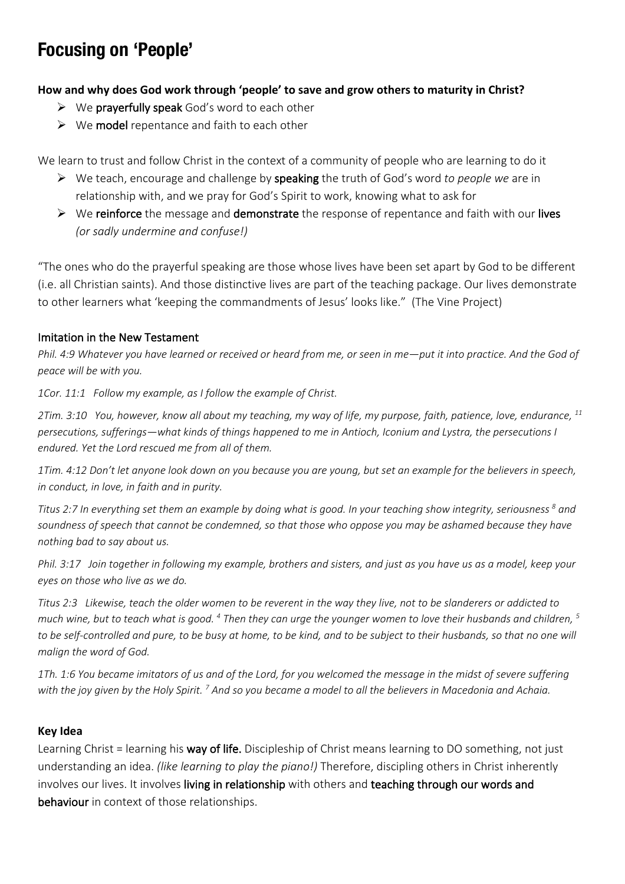## **Focusing on 'People'**

#### **How and why does God work through 'people' to save and grow others to maturity in Christ?**

- $\triangleright$  We prayerfully speak God's word to each other
- $\triangleright$  We model repentance and faith to each other

We learn to trust and follow Christ in the context of a community of people who are learning to do it

- Ø We teach, encourage and challenge by speaking the truth of God's word *to people we* are in relationship with, and we pray for God's Spirit to work, knowing what to ask for
- $\triangleright$  We reinforce the message and demonstrate the response of repentance and faith with our lives *(or sadly undermine and confuse!)*

"The ones who do the prayerful speaking are those whose lives have been set apart by God to be different (i.e. all Christian saints). And those distinctive lives are part of the teaching package. Our lives demonstrate to other learners what 'keeping the commandments of Jesus' looks like." (The Vine Project)

#### Imitation in the New Testament

*Phil. 4:9 Whatever you have learned or received or heard from me, or seen in me—put it into practice. And the God of peace will be with you.*

*1Cor. 11:1 Follow my example, as I follow the example of Christ.*

*2Tim. 3:10 You, however, know all about my teaching, my way of life, my purpose, faith, patience, love, endurance, 11 persecutions, sufferings—what kinds of things happened to me in Antioch, Iconium and Lystra, the persecutions I endured. Yet the Lord rescued me from all of them.*

*1Tim. 4:12 Don't let anyone look down on you because you are young, but set an example for the believers in speech, in conduct, in love, in faith and in purity.*

*Titus 2:7 In everything set them an example by doing what is good. In your teaching show integrity, seriousness 8 and soundness of speech that cannot be condemned, so that those who oppose you may be ashamed because they have nothing bad to say about us.*

*Phil. 3:17 Join together in following my example, brothers and sisters, and just as you have us as a model, keep your eyes on those who live as we do.*

*Titus 2:3 Likewise, teach the older women to be reverent in the way they live, not to be slanderers or addicted to much wine, but to teach what is good. 4 Then they can urge the younger women to love their husbands and children, 5 to be self-controlled and pure, to be busy at home, to be kind, and to be subject to their husbands, so that no one will malign the word of God.*

*1Th. 1:6 You became imitators of us and of the Lord, for you welcomed the message in the midst of severe suffering with the joy given by the Holy Spirit. 7 And so you became a model to all the believers in Macedonia and Achaia.*

#### **Key Idea**

Learning Christ = learning his way of life. Discipleship of Christ means learning to DO something, not just understanding an idea. *(like learning to play the piano!)* Therefore, discipling others in Christ inherently involves our lives. It involves living in relationship with others and teaching through our words and behaviour in context of those relationships.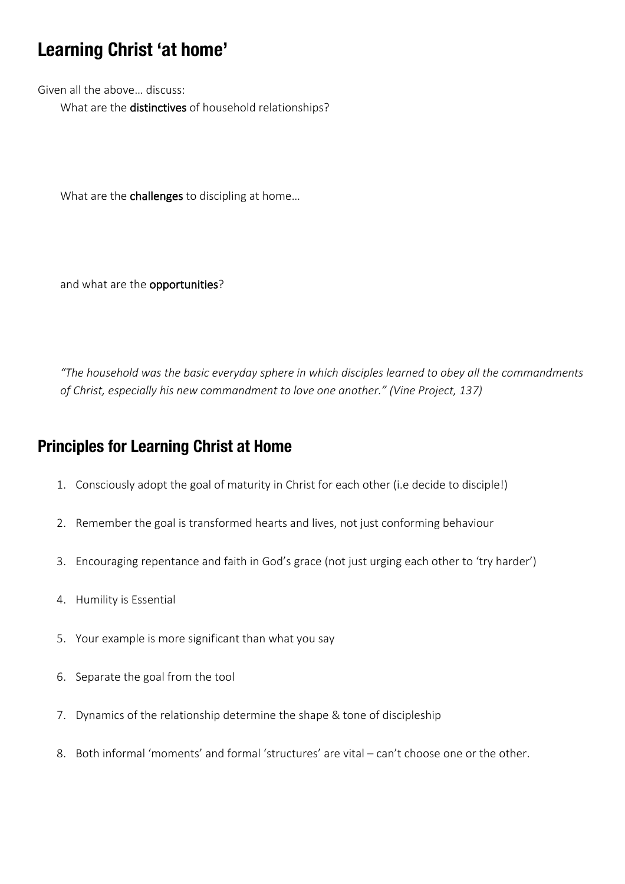## **Learning Christ 'at home'**

Given all the above… discuss: What are the distinctives of household relationships?

What are the challenges to discipling at home...

and what are the opportunities?

*"The household was the basic everyday sphere in which disciples learned to obey all the commandments of Christ, especially his new commandment to love one another." (Vine Project, 137)*

### **Principles for Learning Christ at Home**

- 1. Consciously adopt the goal of maturity in Christ for each other (i.e decide to disciple!)
- 2. Remember the goal is transformed hearts and lives, not just conforming behaviour
- 3. Encouraging repentance and faith in God's grace (not just urging each other to 'try harder')
- 4. Humility is Essential
- 5. Your example is more significant than what you say
- 6. Separate the goal from the tool
- 7. Dynamics of the relationship determine the shape & tone of discipleship
- 8. Both informal 'moments' and formal 'structures' are vital can't choose one or the other.